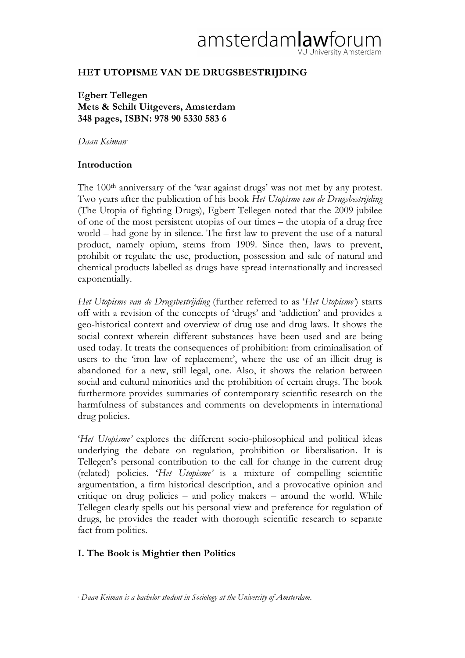# amsterdamlaw /U University Amsterdam

# **HET UTOPISME VAN DE DRUGSBESTRIJDING**

**Egbert Tellegen Mets & Schilt Uitgevers, Amsterdam 348 pages, ISBN: 978 90 5330 583 6**

*Daan Keiman*<sup>∗</sup>

## **Introduction**

The 100<sup>th</sup> anniversary of the 'war against drugs' was not met by any protest. Two years after the publication of his book *Het Utopisme van de Drugsbestrijding* (The Utopia of fighting Drugs), Egbert Tellegen noted that the 2009 jubilee of one of the most persistent utopias of our times – the utopia of a drug free world – had gone by in silence. The first law to prevent the use of a natural product, namely opium, stems from 1909. Since then, laws to prevent, prohibit or regulate the use, production, possession and sale of natural and chemical products labelled as drugs have spread internationally and increased exponentially.

*Het Utopisme van de Drugsbestrijding* (further referred to as '*Het Utopisme'*) starts off with a revision of the concepts of 'drugs' and 'addiction' and provides a geo-historical context and overview of drug use and drug laws. It shows the social context wherein different substances have been used and are being used today. It treats the consequences of prohibition: from criminalisation of users to the 'iron law of replacement', where the use of an illicit drug is abandoned for a new, still legal, one. Also, it shows the relation between social and cultural minorities and the prohibition of certain drugs. The book furthermore provides summaries of contemporary scientific research on the harmfulness of substances and comments on developments in international drug policies.

'*Het Utopisme'* explores the different socio-philosophical and political ideas underlying the debate on regulation, prohibition or liberalisation. It is Tellegen's personal contribution to the call for change in the current drug (related) policies. '*Het Utopisme'* is a mixture of compelling scientific argumentation, a firm historical description, and a provocative opinion and critique on drug policies – and policy makers – around the world. While Tellegen clearly spells out his personal view and preference for regulation of drugs, he provides the reader with thorough scientific research to separate fact from politics.

# **I. The Book is Mightier then Politics**

 $\overline{a}$ <sup>∗</sup> *Daan Keiman is a bachelor student in Sociology at the University of Amsterdam.*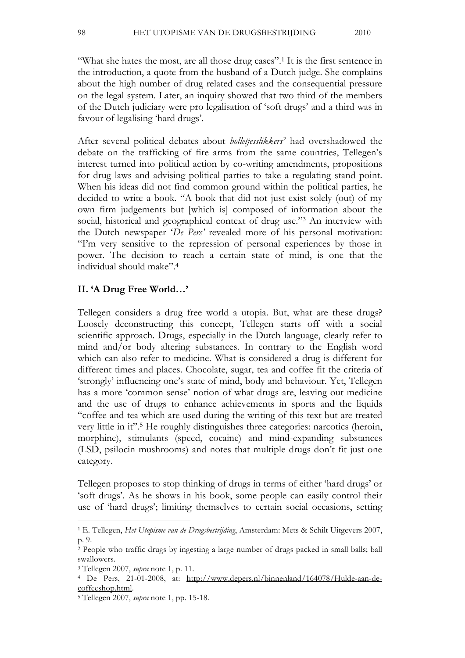"What she hates the most, are all those drug cases". 1 It is the first sentence in the introduction, a quote from the husband of a Dutch judge. She complains about the high number of drug related cases and the consequential pressure on the legal system. Later, an inquiry showed that two third of the members of the Dutch judiciary were pro legalisation of 'soft drugs' and a third was in favour of legalising 'hard drugs'.

After several political debates about *bolletjesslikkers2* had overshadowed the debate on the trafficking of fire arms from the same countries, Tellegen's interest turned into political action by co-writing amendments, propositions for drug laws and advising political parties to take a regulating stand point. When his ideas did not find common ground within the political parties, he decided to write a book. "A book that did not just exist solely (out) of my own firm judgements but [which is] composed of information about the social, historical and geographical context of drug use."<sup>3</sup> An interview with the Dutch newspaper '*De Pers'* revealed more of his personal motivation: "I'm very sensitive to the repression of personal experiences by those in power. The decision to reach a certain state of mind, is one that the individual should make". 4

#### **II. 'A Drug Free World…'**

Tellegen considers a drug free world a utopia. But, what are these drugs? Loosely deconstructing this concept, Tellegen starts off with a social scientific approach. Drugs, especially in the Dutch language, clearly refer to mind and/or body altering substances. In contrary to the English word which can also refer to medicine. What is considered a drug is different for different times and places. Chocolate, sugar, tea and coffee fit the criteria of 'strongly' influencing one's state of mind, body and behaviour. Yet, Tellegen has a more 'common sense' notion of what drugs are, leaving out medicine and the use of drugs to enhance achievements in sports and the liquids "coffee and tea which are used during the writing of this text but are treated very little in it". 5 He roughly distinguishes three categories: narcotics (heroin, morphine), stimulants (speed, cocaine) and mind-expanding substances (LSD, psilocin mushrooms) and notes that multiple drugs don't fit just one category.

Tellegen proposes to stop thinking of drugs in terms of either 'hard drugs' or 'soft drugs'. As he shows in his book, some people can easily control their use of 'hard drugs'; limiting themselves to certain social occasions, setting

<sup>1</sup> E. Tellegen, *Het Utopisme van de Drugsbestrijding*, Amsterdam: Mets & Schilt Uitgevers 2007, p. 9.

<sup>2</sup> People who traffic drugs by ingesting a large number of drugs packed in small balls; ball swallowers.

<sup>3</sup> Tellegen 2007, *supra* note 1, p. 11.

<sup>4</sup> De Pers, 21-01-2008, at: http://www.depers.nl/binnenland/164078/Hulde-aan-decoffeeshop.html.

<sup>5</sup> Tellegen 2007, *supra* note 1, pp. 15-18.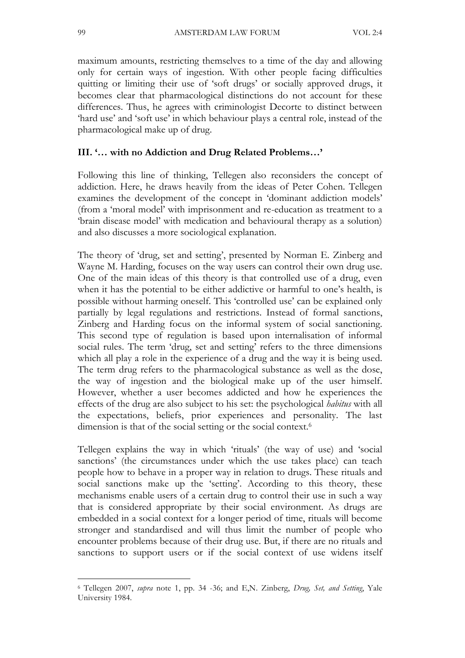maximum amounts, restricting themselves to a time of the day and allowing only for certain ways of ingestion. With other people facing difficulties quitting or limiting their use of 'soft drugs' or socially approved drugs, it becomes clear that pharmacological distinctions do not account for these differences. Thus, he agrees with criminologist Decorte to distinct between 'hard use' and 'soft use' in which behaviour plays a central role, instead of the pharmacological make up of drug.

#### **III. '… with no Addiction and Drug Related Problems…'**

Following this line of thinking, Tellegen also reconsiders the concept of addiction. Here, he draws heavily from the ideas of Peter Cohen. Tellegen examines the development of the concept in 'dominant addiction models' (from a 'moral model' with imprisonment and re-education as treatment to a 'brain disease model' with medication and behavioural therapy as a solution) and also discusses a more sociological explanation.

The theory of 'drug, set and setting', presented by Norman E. Zinberg and Wayne M. Harding, focuses on the way users can control their own drug use. One of the main ideas of this theory is that controlled use of a drug, even when it has the potential to be either addictive or harmful to one's health, is possible without harming oneself. This 'controlled use' can be explained only partially by legal regulations and restrictions. Instead of formal sanctions, Zinberg and Harding focus on the informal system of social sanctioning. This second type of regulation is based upon internalisation of informal social rules. The term 'drug, set and setting' refers to the three dimensions which all play a role in the experience of a drug and the way it is being used. The term drug refers to the pharmacological substance as well as the dose, the way of ingestion and the biological make up of the user himself. However, whether a user becomes addicted and how he experiences the effects of the drug are also subject to his set: the psychological *habitus* with all the expectations, beliefs, prior experiences and personality. The last dimension is that of the social setting or the social context. 6

Tellegen explains the way in which 'rituals' (the way of use) and 'social sanctions' (the circumstances under which the use takes place) can teach people how to behave in a proper way in relation to drugs. These rituals and social sanctions make up the 'setting'. According to this theory, these mechanisms enable users of a certain drug to control their use in such a way that is considered appropriate by their social environment. As drugs are embedded in a social context for a longer period of time, rituals will become stronger and standardised and will thus limit the number of people who encounter problems because of their drug use. But, if there are no rituals and sanctions to support users or if the social context of use widens itself

<sup>6</sup> Tellegen 2007, *supra* note 1, pp. 34 -36; and E,N. Zinberg, *Drug, Set, and Setting*, Yale University 1984.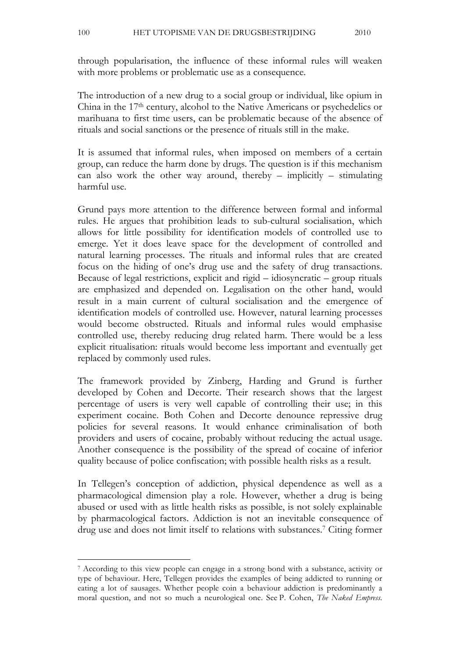100 HET UTOPISME VAN DE DRUGSBESTRIJDING 2010

through popularisation, the influence of these informal rules will weaken with more problems or problematic use as a consequence.

The introduction of a new drug to a social group or individual, like opium in China in the 17th century, alcohol to the Native Americans or psychedelics or marihuana to first time users, can be problematic because of the absence of rituals and social sanctions or the presence of rituals still in the make.

It is assumed that informal rules, when imposed on members of a certain group, can reduce the harm done by drugs. The question is if this mechanism can also work the other way around, thereby  $-$  implicitly  $-$  stimulating harmful use.

Grund pays more attention to the difference between formal and informal rules. He argues that prohibition leads to sub-cultural socialisation, which allows for little possibility for identification models of controlled use to emerge. Yet it does leave space for the development of controlled and natural learning processes. The rituals and informal rules that are created focus on the hiding of one's drug use and the safety of drug transactions. Because of legal restrictions, explicit and rigid – idiosyncratic – group rituals are emphasized and depended on. Legalisation on the other hand, would result in a main current of cultural socialisation and the emergence of identification models of controlled use. However, natural learning processes would become obstructed. Rituals and informal rules would emphasise controlled use, thereby reducing drug related harm. There would be a less explicit ritualisation: rituals would become less important and eventually get replaced by commonly used rules.

The framework provided by Zinberg, Harding and Grund is further developed by Cohen and Decorte. Their research shows that the largest percentage of users is very well capable of controlling their use; in this experiment cocaine. Both Cohen and Decorte denounce repressive drug policies for several reasons. It would enhance criminalisation of both providers and users of cocaine, probably without reducing the actual usage. Another consequence is the possibility of the spread of cocaine of inferior quality because of police confiscation; with possible health risks as a result.

In Tellegen's conception of addiction, physical dependence as well as a pharmacological dimension play a role. However, whether a drug is being abused or used with as little health risks as possible, is not solely explainable by pharmacological factors. Addiction is not an inevitable consequence of drug use and does not limit itself to relations with substances. 7 Citing former

<sup>7</sup> According to this view people can engage in a strong bond with a substance, activity or type of behaviour. Here, Tellegen provides the examples of being addicted to running or eating a lot of sausages. Whether people coin a behaviour addiction is predominantly a moral question, and not so much a neurological one. See P. Cohen, *The Naked Empress.*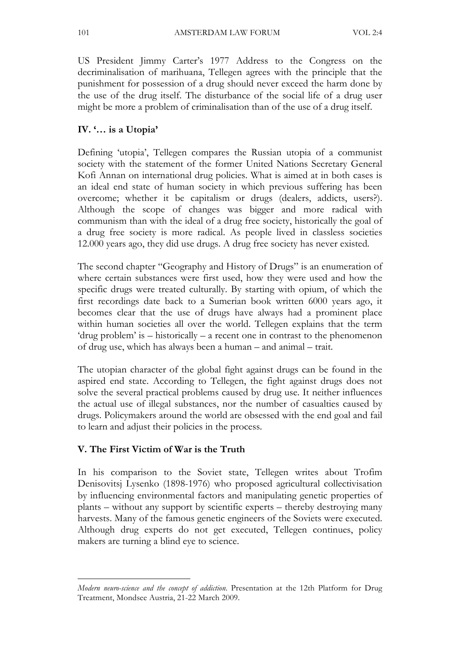US President Jimmy Carter's 1977 Address to the Congress on the decriminalisation of marihuana, Tellegen agrees with the principle that the punishment for possession of a drug should never exceed the harm done by the use of the drug itself. The disturbance of the social life of a drug user might be more a problem of criminalisation than of the use of a drug itself.

### **IV. '… is a Utopia'**

Defining 'utopia', Tellegen compares the Russian utopia of a communist society with the statement of the former United Nations Secretary General Kofi Annan on international drug policies. What is aimed at in both cases is an ideal end state of human society in which previous suffering has been overcome; whether it be capitalism or drugs (dealers, addicts, users?). Although the scope of changes was bigger and more radical with communism than with the ideal of a drug free society, historically the goal of a drug free society is more radical. As people lived in classless societies 12.000 years ago, they did use drugs. A drug free society has never existed.

The second chapter "Geography and History of Drugs" is an enumeration of where certain substances were first used, how they were used and how the specific drugs were treated culturally. By starting with opium, of which the first recordings date back to a Sumerian book written 6000 years ago, it becomes clear that the use of drugs have always had a prominent place within human societies all over the world. Tellegen explains that the term 'drug problem' is – historically – a recent one in contrast to the phenomenon of drug use, which has always been a human – and animal – trait.

The utopian character of the global fight against drugs can be found in the aspired end state. According to Tellegen, the fight against drugs does not solve the several practical problems caused by drug use. It neither influences the actual use of illegal substances, nor the number of casualties caused by drugs. Policymakers around the world are obsessed with the end goal and fail to learn and adjust their policies in the process.

### **V. The First Victim of War is the Truth**

 $\overline{a}$ 

In his comparison to the Soviet state, Tellegen writes about Trofim Denisovitsj Lysenko (1898-1976) who proposed agricultural collectivisation by influencing environmental factors and manipulating genetic properties of plants – without any support by scientific experts – thereby destroying many harvests. Many of the famous genetic engineers of the Soviets were executed. Although drug experts do not get executed, Tellegen continues, policy makers are turning a blind eye to science.

*Modern neuro-science and the concept of addiction*. Presentation at the 12th Platform for Drug Treatment, Mondsee Austria, 21-22 March 2009.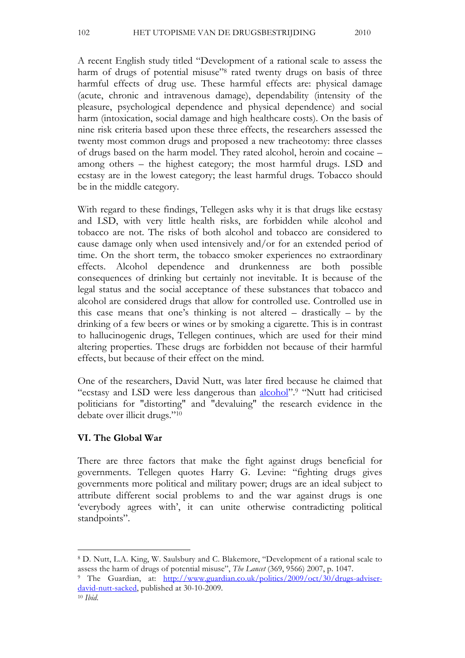A recent English study titled "Development of a rational scale to assess the harm of drugs of potential misuse"<sup>8</sup> rated twenty drugs on basis of three harmful effects of drug use. These harmful effects are: physical damage (acute, chronic and intravenous damage), dependability (intensity of the pleasure, psychological dependence and physical dependence) and social harm (intoxication, social damage and high healthcare costs). On the basis of nine risk criteria based upon these three effects, the researchers assessed the twenty most common drugs and proposed a new tracheotomy: three classes of drugs based on the harm model. They rated alcohol, heroin and cocaine – among others – the highest category; the most harmful drugs. LSD and ecstasy are in the lowest category; the least harmful drugs. Tobacco should be in the middle category.

With regard to these findings, Tellegen asks why it is that drugs like ecstasy and LSD, with very little health risks, are forbidden while alcohol and tobacco are not. The risks of both alcohol and tobacco are considered to cause damage only when used intensively and/or for an extended period of time. On the short term, the tobacco smoker experiences no extraordinary effects. Alcohol dependence and drunkenness are both possible consequences of drinking but certainly not inevitable. It is because of the legal status and the social acceptance of these substances that tobacco and alcohol are considered drugs that allow for controlled use. Controlled use in this case means that one's thinking is not altered – drastically – by the drinking of a few beers or wines or by smoking a cigarette. This is in contrast to hallucinogenic drugs, Tellegen continues, which are used for their mind altering properties. These drugs are forbidden not because of their harmful effects, but because of their effect on the mind.

One of the researchers, David Nutt, was later fired because he claimed that "ecstasy and LSD were less dangerous than **alcohol**".<sup>9</sup> "Nutt had criticised politicians for "distorting" and "devaluing" the research evidence in the debate over illicit drugs."10

# **VI. The Global War**

There are three factors that make the fight against drugs beneficial for governments. Tellegen quotes Harry G. Levine: "fighting drugs gives governments more political and military power; drugs are an ideal subject to attribute different social problems to and the war against drugs is one 'everybody agrees with', it can unite otherwise contradicting political standpoints".

<sup>8</sup> D. Nutt, L.A. King, W. Saulsbury and C. Blakemore, "Development of a rational scale to assess the harm of drugs of potential misuse", *The Lancet* (369, 9566) 2007, p. 1047.

<sup>9</sup> The Guardian, at: http://www.guardian.co.uk/politics/2009/oct/30/drugs-adviserdavid-nutt-sacked, published at 30-10-2009.

<sup>10</sup> *Ibid*.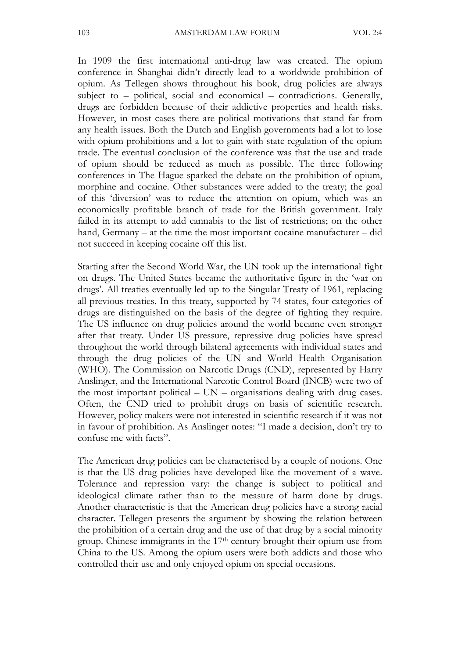In 1909 the first international anti-drug law was created. The opium conference in Shanghai didn't directly lead to a worldwide prohibition of opium. As Tellegen shows throughout his book, drug policies are always subject to – political, social and economical – contradictions. Generally, drugs are forbidden because of their addictive properties and health risks. However, in most cases there are political motivations that stand far from any health issues. Both the Dutch and English governments had a lot to lose with opium prohibitions and a lot to gain with state regulation of the opium trade. The eventual conclusion of the conference was that the use and trade of opium should be reduced as much as possible. The three following conferences in The Hague sparked the debate on the prohibition of opium, morphine and cocaine. Other substances were added to the treaty; the goal of this 'diversion' was to reduce the attention on opium, which was an economically profitable branch of trade for the British government. Italy failed in its attempt to add cannabis to the list of restrictions; on the other hand, Germany – at the time the most important cocaine manufacturer – did not succeed in keeping cocaine off this list.

Starting after the Second World War, the UN took up the international fight on drugs. The United States became the authoritative figure in the 'war on drugs'. All treaties eventually led up to the Singular Treaty of 1961, replacing all previous treaties. In this treaty, supported by 74 states, four categories of drugs are distinguished on the basis of the degree of fighting they require. The US influence on drug policies around the world became even stronger after that treaty. Under US pressure, repressive drug policies have spread throughout the world through bilateral agreements with individual states and through the drug policies of the UN and World Health Organisation (WHO). The Commission on Narcotic Drugs (CND), represented by Harry Anslinger, and the International Narcotic Control Board (INCB) were two of the most important political  $-$  UN  $-$  organisations dealing with drug cases. Often, the CND tried to prohibit drugs on basis of scientific research. However, policy makers were not interested in scientific research if it was not in favour of prohibition. As Anslinger notes: "I made a decision, don't try to confuse me with facts".

The American drug policies can be characterised by a couple of notions. One is that the US drug policies have developed like the movement of a wave. Tolerance and repression vary: the change is subject to political and ideological climate rather than to the measure of harm done by drugs. Another characteristic is that the American drug policies have a strong racial character. Tellegen presents the argument by showing the relation between the prohibition of a certain drug and the use of that drug by a social minority group. Chinese immigrants in the 17th century brought their opium use from China to the US. Among the opium users were both addicts and those who controlled their use and only enjoyed opium on special occasions.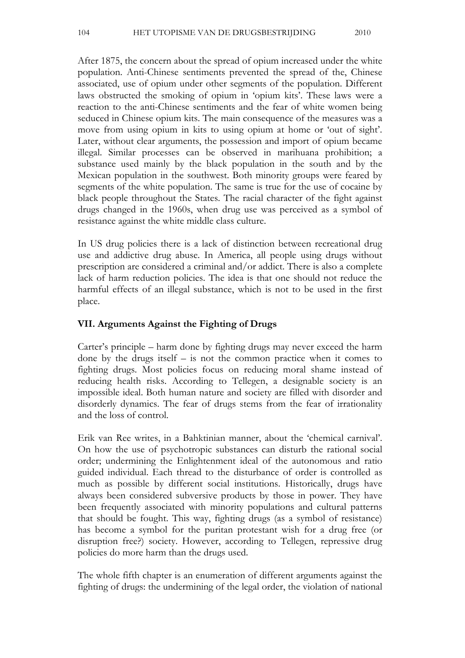After 1875, the concern about the spread of opium increased under the white population. Anti-Chinese sentiments prevented the spread of the, Chinese associated, use of opium under other segments of the population. Different laws obstructed the smoking of opium in 'opium kits'. These laws were a reaction to the anti-Chinese sentiments and the fear of white women being seduced in Chinese opium kits. The main consequence of the measures was a move from using opium in kits to using opium at home or 'out of sight'. Later, without clear arguments, the possession and import of opium became illegal. Similar processes can be observed in marihuana prohibition; a substance used mainly by the black population in the south and by the Mexican population in the southwest. Both minority groups were feared by segments of the white population. The same is true for the use of cocaine by black people throughout the States. The racial character of the fight against drugs changed in the 1960s, when drug use was perceived as a symbol of resistance against the white middle class culture.

In US drug policies there is a lack of distinction between recreational drug use and addictive drug abuse. In America, all people using drugs without prescription are considered a criminal and/or addict. There is also a complete lack of harm reduction policies. The idea is that one should not reduce the harmful effects of an illegal substance, which is not to be used in the first place.

## **VII. Arguments Against the Fighting of Drugs**

Carter's principle – harm done by fighting drugs may never exceed the harm done by the drugs itself – is not the common practice when it comes to fighting drugs. Most policies focus on reducing moral shame instead of reducing health risks. According to Tellegen, a designable society is an impossible ideal. Both human nature and society are filled with disorder and disorderly dynamics. The fear of drugs stems from the fear of irrationality and the loss of control.

Erik van Ree writes, in a Bahktinian manner, about the 'chemical carnival'. On how the use of psychotropic substances can disturb the rational social order; undermining the Enlightenment ideal of the autonomous and ratio guided individual. Each thread to the disturbance of order is controlled as much as possible by different social institutions. Historically, drugs have always been considered subversive products by those in power. They have been frequently associated with minority populations and cultural patterns that should be fought. This way, fighting drugs (as a symbol of resistance) has become a symbol for the puritan protestant wish for a drug free (or disruption free?) society. However, according to Tellegen, repressive drug policies do more harm than the drugs used.

The whole fifth chapter is an enumeration of different arguments against the fighting of drugs: the undermining of the legal order, the violation of national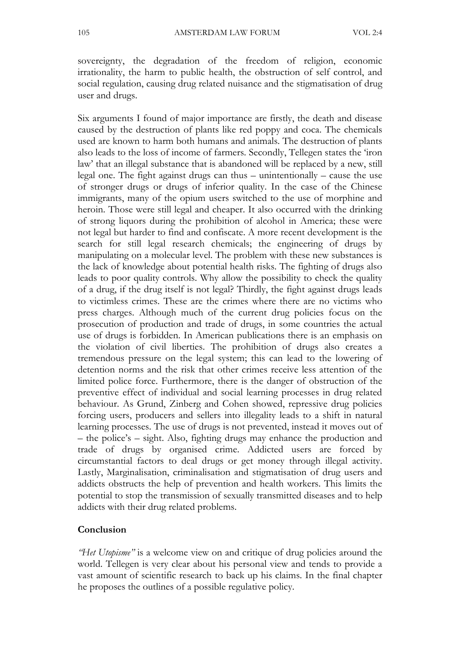sovereignty, the degradation of the freedom of religion, economic irrationality, the harm to public health, the obstruction of self control, and social regulation, causing drug related nuisance and the stigmatisation of drug user and drugs.

Six arguments I found of major importance are firstly, the death and disease caused by the destruction of plants like red poppy and coca. The chemicals used are known to harm both humans and animals. The destruction of plants also leads to the loss of income of farmers. Secondly, Tellegen states the 'iron law' that an illegal substance that is abandoned will be replaced by a new, still legal one. The fight against drugs can thus – unintentionally – cause the use of stronger drugs or drugs of inferior quality. In the case of the Chinese immigrants, many of the opium users switched to the use of morphine and heroin. Those were still legal and cheaper. It also occurred with the drinking of strong liquors during the prohibition of alcohol in America; these were not legal but harder to find and confiscate. A more recent development is the search for still legal research chemicals; the engineering of drugs by manipulating on a molecular level. The problem with these new substances is the lack of knowledge about potential health risks. The fighting of drugs also leads to poor quality controls. Why allow the possibility to check the quality of a drug, if the drug itself is not legal? Thirdly, the fight against drugs leads to victimless crimes. These are the crimes where there are no victims who press charges. Although much of the current drug policies focus on the prosecution of production and trade of drugs, in some countries the actual use of drugs is forbidden. In American publications there is an emphasis on the violation of civil liberties. The prohibition of drugs also creates a tremendous pressure on the legal system; this can lead to the lowering of detention norms and the risk that other crimes receive less attention of the limited police force. Furthermore, there is the danger of obstruction of the preventive effect of individual and social learning processes in drug related behaviour. As Grund, Zinberg and Cohen showed, repressive drug policies forcing users, producers and sellers into illegality leads to a shift in natural learning processes. The use of drugs is not prevented, instead it moves out of – the police's – sight. Also, fighting drugs may enhance the production and trade of drugs by organised crime. Addicted users are forced by circumstantial factors to deal drugs or get money through illegal activity. Lastly, Marginalisation, criminalisation and stigmatisation of drug users and addicts obstructs the help of prevention and health workers. This limits the potential to stop the transmission of sexually transmitted diseases and to help addicts with their drug related problems.

#### **Conclusion**

*"Het Utopisme"* is a welcome view on and critique of drug policies around the world. Tellegen is very clear about his personal view and tends to provide a vast amount of scientific research to back up his claims. In the final chapter he proposes the outlines of a possible regulative policy.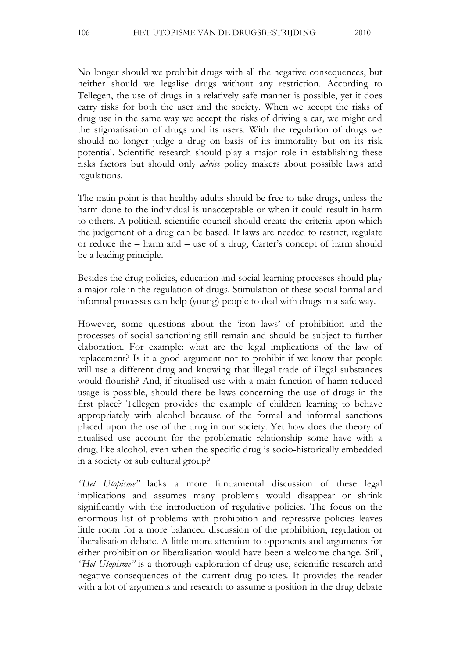No longer should we prohibit drugs with all the negative consequences, but neither should we legalise drugs without any restriction. According to Tellegen, the use of drugs in a relatively safe manner is possible, yet it does carry risks for both the user and the society. When we accept the risks of drug use in the same way we accept the risks of driving a car, we might end the stigmatisation of drugs and its users. With the regulation of drugs we should no longer judge a drug on basis of its immorality but on its risk potential. Scientific research should play a major role in establishing these risks factors but should only *advise* policy makers about possible laws and regulations.

The main point is that healthy adults should be free to take drugs, unless the harm done to the individual is unacceptable or when it could result in harm to others. A political, scientific council should create the criteria upon which the judgement of a drug can be based. If laws are needed to restrict, regulate or reduce the – harm and – use of a drug, Carter's concept of harm should be a leading principle.

Besides the drug policies, education and social learning processes should play a major role in the regulation of drugs. Stimulation of these social formal and informal processes can help (young) people to deal with drugs in a safe way.

However, some questions about the 'iron laws' of prohibition and the processes of social sanctioning still remain and should be subject to further elaboration. For example: what are the legal implications of the law of replacement? Is it a good argument not to prohibit if we know that people will use a different drug and knowing that illegal trade of illegal substances would flourish? And, if ritualised use with a main function of harm reduced usage is possible, should there be laws concerning the use of drugs in the first place? Tellegen provides the example of children learning to behave appropriately with alcohol because of the formal and informal sanctions placed upon the use of the drug in our society. Yet how does the theory of ritualised use account for the problematic relationship some have with a drug, like alcohol, even when the specific drug is socio-historically embedded in a society or sub cultural group?

*"Het Utopisme"* lacks a more fundamental discussion of these legal implications and assumes many problems would disappear or shrink significantly with the introduction of regulative policies. The focus on the enormous list of problems with prohibition and repressive policies leaves little room for a more balanced discussion of the prohibition, regulation or liberalisation debate. A little more attention to opponents and arguments for either prohibition or liberalisation would have been a welcome change. Still, *"Het Utopisme"* is a thorough exploration of drug use, scientific research and negative consequences of the current drug policies. It provides the reader with a lot of arguments and research to assume a position in the drug debate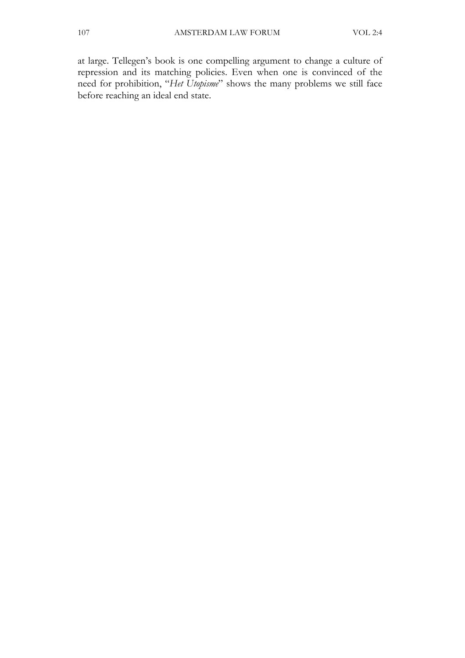at large. Tellegen's book is one compelling argument to change a culture of repression and its matching policies. Even when one is convinced of the need for prohibition, "*Het Utopisme*" shows the many problems we still face before reaching an ideal end state.